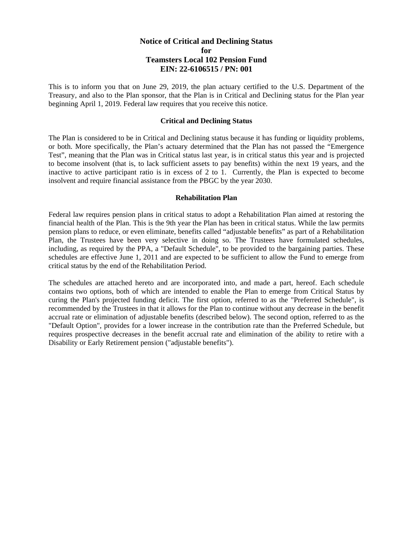# **Notice of Critical and Declining Status for Teamsters Local 102 Pension Fund EIN: 22-6106515 / PN: 001**

This is to inform you that on June 29, 2019, the plan actuary certified to the U.S. Department of the Treasury, and also to the Plan sponsor, that the Plan is in Critical and Declining status for the Plan year beginning April 1, 2019. Federal law requires that you receive this notice.

### **Critical and Declining Status**

The Plan is considered to be in Critical and Declining status because it has funding or liquidity problems, or both. More specifically, the Plan's actuary determined that the Plan has not passed the "Emergence Test", meaning that the Plan was in Critical status last year, is in critical status this year and is projected to become insolvent (that is, to lack sufficient assets to pay benefits) within the next 19 years, and the inactive to active participant ratio is in excess of 2 to 1. Currently, the Plan is expected to become insolvent and require financial assistance from the PBGC by the year 2030.

### **Rehabilitation Plan**

Federal law requires pension plans in critical status to adopt a Rehabilitation Plan aimed at restoring the financial health of the Plan. This is the 9th year the Plan has been in critical status. While the law permits pension plans to reduce, or even eliminate, benefits called "adjustable benefits" as part of a Rehabilitation Plan, the Trustees have been very selective in doing so. The Trustees have formulated schedules, including, as required by the PPA, a "Default Schedule", to be provided to the bargaining parties. These schedules are effective June 1, 2011 and are expected to be sufficient to allow the Fund to emerge from critical status by the end of the Rehabilitation Period.

The schedules are attached hereto and are incorporated into, and made a part, hereof. Each schedule contains two options, both of which are intended to enable the Plan to emerge from Critical Status by curing the Plan's projected funding deficit. The first option, referred to as the "Preferred Schedule", is recommended by the Trustees in that it allows for the Plan to continue without any decrease in the benefit accrual rate or elimination of adjustable benefits (described below). The second option, referred to as the "Default Option", provides for a lower increase in the contribution rate than the Preferred Schedule, but requires prospective decreases in the benefit accrual rate and elimination of the ability to retire with a Disability or Early Retirement pension ("adjustable benefits").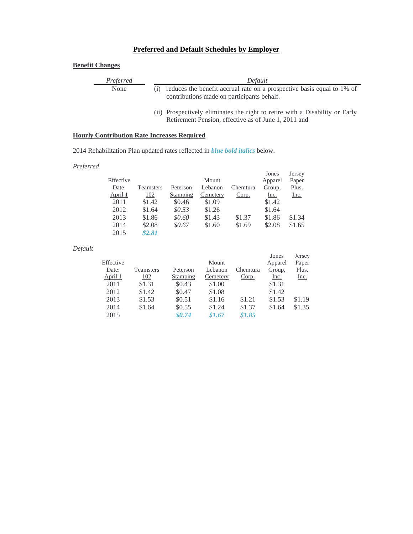# **Preferred and Default Schedules by Employer**

## **Benefit Changes**

| Preferred | Default                                                                    |  |  |  |  |  |
|-----------|----------------------------------------------------------------------------|--|--|--|--|--|
| None      | (i) reduces the benefit accrual rate on a prospective basis equal to 1% of |  |  |  |  |  |
|           | contributions made on participants behalf.                                 |  |  |  |  |  |

(ii) Prospectively eliminates the right to retire with a Disability or Early Retirement Pension, effective as of June 1, 2011 and

#### **Hourly Contribution Rate Increases Required**

2014 Rehabilitation Plan updated rates reflected in *blue bold italics* below.

#### *Preferred*

|           |                  |          |          |          | Jones   | Jersey      |
|-----------|------------------|----------|----------|----------|---------|-------------|
| Effective |                  |          | Mount    |          | Apparel | Paper       |
| Date:     | <b>Teamsters</b> | Peterson | Lebanon  | Chemtura | Group,  | Plus,       |
| April 1   | <u>102</u>       | Stamping | Cemetery | Corp.    | Inc.    | <u>Inc.</u> |
| 2011      | \$1.42           | \$0.46   | \$1.09   |          | \$1.42  |             |
| 2012      | \$1.64           | \$0.53\$ | \$1.26   |          | \$1.64  |             |
| 2013      | \$1.86           | \$0.60   | \$1.43   | \$1.37   | \$1.86  | \$1.34      |
| 2014      | \$2.08           | \$0.67   | \$1.60   | \$1.69   | \$2.08  | \$1.65      |
| 2015      | \$2.81           |          |          |          |         |             |

#### *Default*

|           |           |          |          |          | Jones   | Jersey      |
|-----------|-----------|----------|----------|----------|---------|-------------|
| Effective |           |          | Mount    |          | Apparel | Paper       |
| Date:     | Teamsters | Peterson | Lebanon  | Chemtura | Group,  | Plus,       |
| April 1   | 102       | Stamping | Cemetery | Corp.    | Inc.    | <u>Inc.</u> |
| 2011      | \$1.31    | \$0.43   | \$1.00   |          | \$1.31  |             |
| 2012      | \$1.42    | \$0.47   | \$1.08   |          | \$1.42  |             |
| 2013      | \$1.53    | \$0.51   | \$1.16   | \$1.21   | \$1.53  | \$1.19      |
| 2014      | \$1.64    | \$0.55   | \$1.24   | \$1.37   | \$1.64  | \$1.35      |
| 2015      |           | \$0.74   | \$1.67   | \$1.85   |         |             |